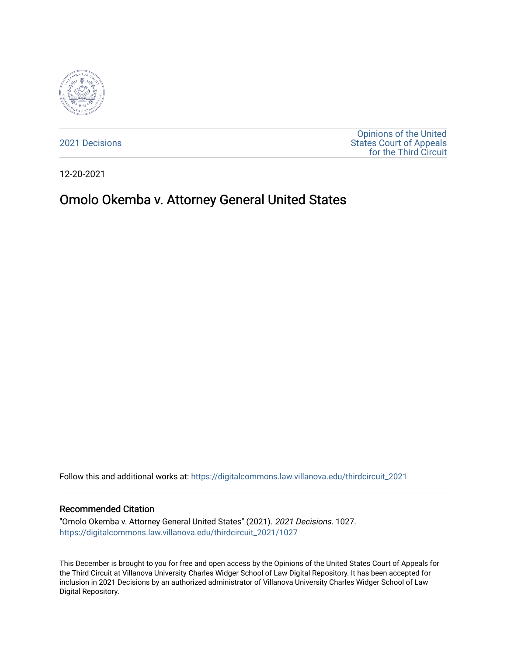

[2021 Decisions](https://digitalcommons.law.villanova.edu/thirdcircuit_2021)

[Opinions of the United](https://digitalcommons.law.villanova.edu/thirdcircuit)  [States Court of Appeals](https://digitalcommons.law.villanova.edu/thirdcircuit)  [for the Third Circuit](https://digitalcommons.law.villanova.edu/thirdcircuit) 

12-20-2021

# Omolo Okemba v. Attorney General United States

Follow this and additional works at: [https://digitalcommons.law.villanova.edu/thirdcircuit\\_2021](https://digitalcommons.law.villanova.edu/thirdcircuit_2021?utm_source=digitalcommons.law.villanova.edu%2Fthirdcircuit_2021%2F1027&utm_medium=PDF&utm_campaign=PDFCoverPages) 

#### Recommended Citation

"Omolo Okemba v. Attorney General United States" (2021). 2021 Decisions. 1027. [https://digitalcommons.law.villanova.edu/thirdcircuit\\_2021/1027](https://digitalcommons.law.villanova.edu/thirdcircuit_2021/1027?utm_source=digitalcommons.law.villanova.edu%2Fthirdcircuit_2021%2F1027&utm_medium=PDF&utm_campaign=PDFCoverPages) 

This December is brought to you for free and open access by the Opinions of the United States Court of Appeals for the Third Circuit at Villanova University Charles Widger School of Law Digital Repository. It has been accepted for inclusion in 2021 Decisions by an authorized administrator of Villanova University Charles Widger School of Law Digital Repository.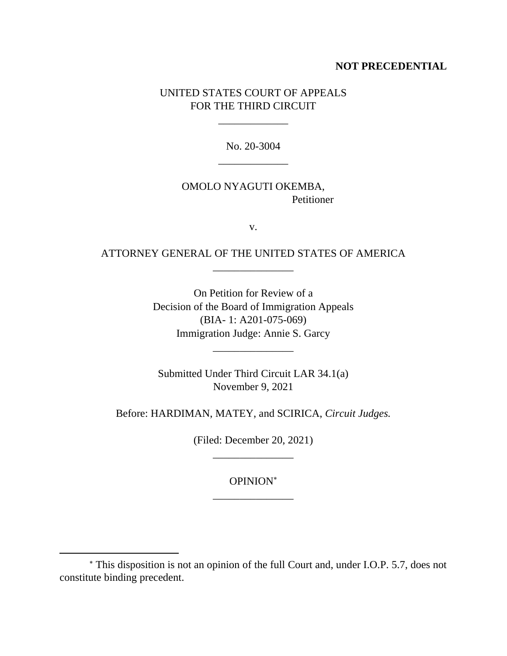### **NOT PRECEDENTIAL**

# UNITED STATES COURT OF APPEALS FOR THE THIRD CIRCUIT

\_\_\_\_\_\_\_\_\_\_\_\_\_

No. 20-3004 \_\_\_\_\_\_\_\_\_\_\_\_\_

# OMOLO NYAGUTI OKEMBA, Petitioner

v.

# ATTORNEY GENERAL OF THE UNITED STATES OF AMERICA \_\_\_\_\_\_\_\_\_\_\_\_\_\_\_

On Petition for Review of a Decision of the Board of Immigration Appeals (BIA- 1: A201-075-069) Immigration Judge: Annie S. Garcy

Submitted Under Third Circuit LAR 34.1(a) November 9, 2021

\_\_\_\_\_\_\_\_\_\_\_\_\_\_\_

Before: HARDIMAN, MATEY, and SCIRICA, *Circuit Judges.*

(Filed: December 20, 2021) \_\_\_\_\_\_\_\_\_\_\_\_\_\_\_

> OPINION \_\_\_\_\_\_\_\_\_\_\_\_\_\_\_

This disposition is not an opinion of the full Court and, under I.O.P. 5.7, does not constitute binding precedent.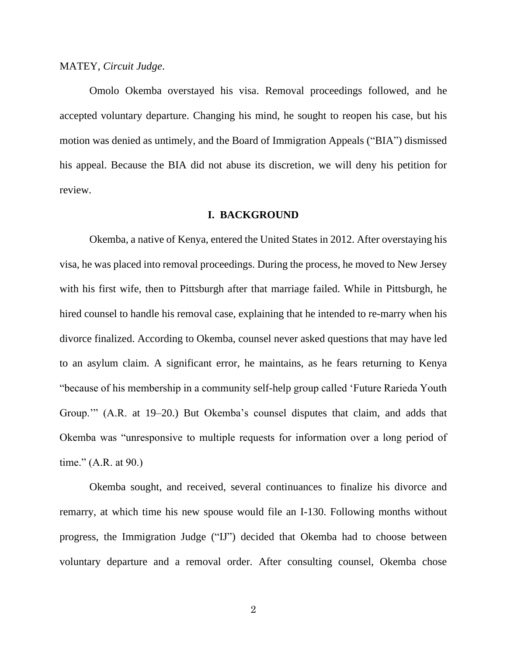#### MATEY, *Circuit Judge*.

Omolo Okemba overstayed his visa. Removal proceedings followed, and he accepted voluntary departure. Changing his mind, he sought to reopen his case, but his motion was denied as untimely, and the Board of Immigration Appeals ("BIA") dismissed his appeal. Because the BIA did not abuse its discretion, we will deny his petition for review.

#### **I. BACKGROUND**

Okemba, a native of Kenya, entered the United States in 2012. After overstaying his visa, he was placed into removal proceedings. During the process, he moved to New Jersey with his first wife, then to Pittsburgh after that marriage failed. While in Pittsburgh, he hired counsel to handle his removal case, explaining that he intended to re-marry when his divorce finalized. According to Okemba, counsel never asked questions that may have led to an asylum claim. A significant error, he maintains, as he fears returning to Kenya "because of his membership in a community self-help group called 'Future Rarieda Youth Group.'" (A.R. at 19–20.) But Okemba's counsel disputes that claim, and adds that Okemba was "unresponsive to multiple requests for information over a long period of time." (A.R. at 90.)

Okemba sought, and received, several continuances to finalize his divorce and remarry, at which time his new spouse would file an I-130. Following months without progress, the Immigration Judge ("IJ") decided that Okemba had to choose between voluntary departure and a removal order. After consulting counsel, Okemba chose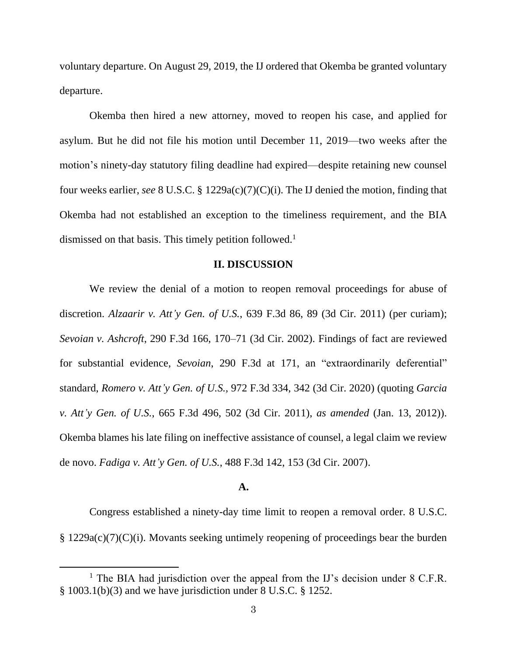voluntary departure. On August 29, 2019, the IJ ordered that Okemba be granted voluntary departure.

Okemba then hired a new attorney, moved to reopen his case, and applied for asylum. But he did not file his motion until December 11, 2019—two weeks after the motion's ninety-day statutory filing deadline had expired—despite retaining new counsel four weeks earlier, *see* 8 U.S.C. § 1229a(c)(7)(C)(i). The IJ denied the motion, finding that Okemba had not established an exception to the timeliness requirement, and the BIA dismissed on that basis. This timely petition followed.<sup>1</sup>

#### **II. DISCUSSION**

We review the denial of a motion to reopen removal proceedings for abuse of discretion. *Alzaarir v. Att'y Gen. of U.S.*, 639 F.3d 86, 89 (3d Cir. 2011) (per curiam); *Sevoian v. Ashcroft*, 290 F.3d 166, 170–71 (3d Cir. 2002). Findings of fact are reviewed for substantial evidence, *Sevoian*, 290 F.3d at 171, an "extraordinarily deferential" standard, *Romero v. Att'y Gen. of U.S.*, 972 F.3d 334, 342 (3d Cir. 2020) (quoting *Garcia v. Att'y Gen. of U.S.*, 665 F.3d 496, 502 (3d Cir. 2011), *as amended* (Jan. 13, 2012)). Okemba blames his late filing on ineffective assistance of counsel, a legal claim we review de novo. *Fadiga v. Att'y Gen. of U.S.*, 488 F.3d 142, 153 (3d Cir. 2007).

### **A.**

Congress established a ninety-day time limit to reopen a removal order. 8 U.S.C. § 1229a(c)(7)(C)(i). Movants seeking untimely reopening of proceedings bear the burden

<sup>&</sup>lt;sup>1</sup> The BIA had jurisdiction over the appeal from the IJ's decision under  $8$  C.F.R. § 1003.1(b)(3) and we have jurisdiction under 8 U.S.C. § 1252.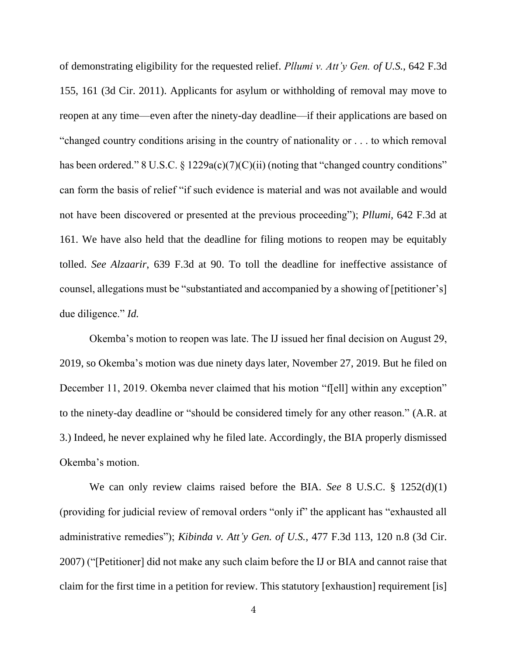of demonstrating eligibility for the requested relief. *Pllumi v. Att'y Gen. of U.S.*, 642 F.3d 155, 161 (3d Cir. 2011). Applicants for asylum or withholding of removal may move to reopen at any time—even after the ninety-day deadline—if their applications are based on "changed country conditions arising in the country of nationality or . . . to which removal has been ordered." 8 U.S.C. § 1229a(c)(7)(C)(ii) (noting that "changed country conditions" can form the basis of relief "if such evidence is material and was not available and would not have been discovered or presented at the previous proceeding"); *Pllumi*, 642 F.3d at 161. We have also held that the deadline for filing motions to reopen may be equitably tolled. *See Alzaarir*, 639 F.3d at 90. To toll the deadline for ineffective assistance of counsel, allegations must be "substantiated and accompanied by a showing of [petitioner's] due diligence." *Id.*

Okemba's motion to reopen was late. The IJ issued her final decision on August 29, 2019, so Okemba's motion was due ninety days later, November 27, 2019. But he filed on December 11, 2019. Okemba never claimed that his motion "f[ell] within any exception" to the ninety-day deadline or "should be considered timely for any other reason." (A.R. at 3.) Indeed, he never explained why he filed late. Accordingly, the BIA properly dismissed Okemba's motion.

We can only review claims raised before the BIA. *See* 8 U.S.C. § 1252(d)(1) (providing for judicial review of removal orders "only if" the applicant has "exhausted all administrative remedies"); *Kibinda v. Att'y Gen. of U.S.*, 477 F.3d 113, 120 n.8 (3d Cir. 2007) ("[Petitioner] did not make any such claim before the IJ or BIA and cannot raise that claim for the first time in a petition for review. This statutory [exhaustion] requirement [is]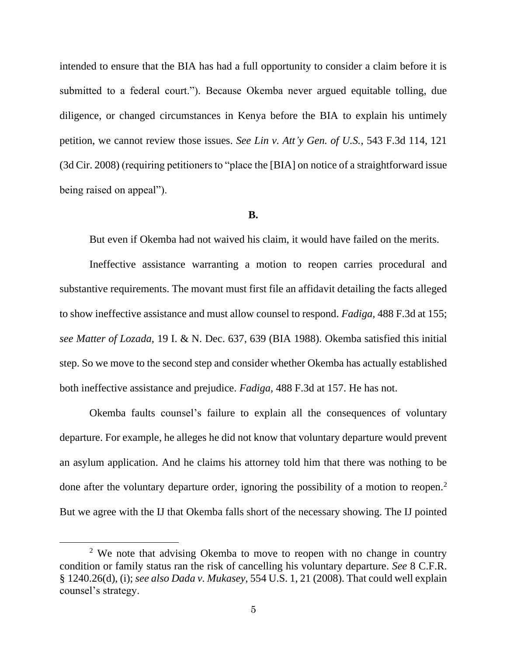intended to ensure that the BIA has had a full opportunity to consider a claim before it is submitted to a federal court."). Because Okemba never argued equitable tolling, due diligence, or changed circumstances in Kenya before the BIA to explain his untimely petition, we cannot review those issues. *See Lin v. Att'y Gen. of U.S.*, 543 F.3d 114, 121 (3d Cir. 2008) (requiring petitioners to "place the [BIA] on notice of a straightforward issue being raised on appeal").

#### **B.**

But even if Okemba had not waived his claim, it would have failed on the merits.

Ineffective assistance warranting a motion to reopen carries procedural and substantive requirements. The movant must first file an affidavit detailing the facts alleged to show ineffective assistance and must allow counsel to respond. *Fadiga*, 488 F.3d at 155; *see Matter of Lozada*, 19 I. & N. Dec. 637, 639 (BIA 1988)*.* Okemba satisfied this initial step. So we move to the second step and consider whether Okemba has actually established both ineffective assistance and prejudice. *Fadiga*, 488 F.3d at 157. He has not.

Okemba faults counsel's failure to explain all the consequences of voluntary departure. For example, he alleges he did not know that voluntary departure would prevent an asylum application. And he claims his attorney told him that there was nothing to be done after the voluntary departure order, ignoring the possibility of a motion to reopen.<sup>2</sup> But we agree with the IJ that Okemba falls short of the necessary showing. The IJ pointed

<sup>&</sup>lt;sup>2</sup> We note that advising Okemba to move to reopen with no change in country condition or family status ran the risk of cancelling his voluntary departure. *See* 8 C.F.R. § 1240.26(d), (i); *see also Dada v. Mukasey*, 554 U.S. 1, 21 (2008). That could well explain counsel's strategy.